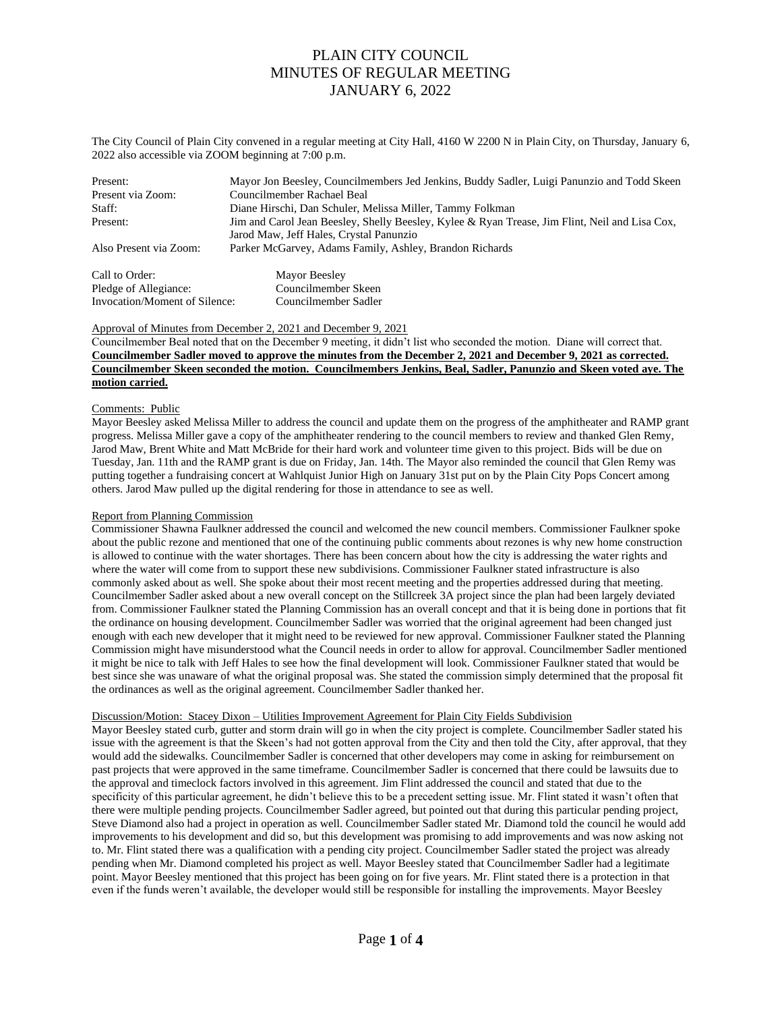The City Council of Plain City convened in a regular meeting at City Hall, 4160 W 2200 N in Plain City, on Thursday, January 6, 2022 also accessible via ZOOM beginning at 7:00 p.m.

| Present:               | Mayor Jon Beesley, Councilmembers Jed Jenkins, Buddy Sadler, Luigi Panunzio and Todd Skeen     |
|------------------------|------------------------------------------------------------------------------------------------|
| Present via Zoom:      | Councilmember Rachael Beal                                                                     |
| Staff:                 | Diane Hirschi, Dan Schuler, Melissa Miller, Tammy Folkman                                      |
| Present:               | Jim and Carol Jean Beesley, Shelly Beesley, Kylee & Ryan Trease, Jim Flint, Neil and Lisa Cox, |
|                        | Jarod Maw, Jeff Hales, Crystal Panunzio                                                        |
| Also Present via Zoom: | Parker McGarvey, Adams Family, Ashley, Brandon Richards                                        |
| Call to Order:         | Mayor Beesley                                                                                  |
| Pledge of Allegiance:  | Councilmember Skeen                                                                            |

# Approval of Minutes from December 2, 2021 and December 9, 2021

Invocation/Moment of Silence: Councilmember Sadler

Councilmember Beal noted that on the December 9 meeting, it didn't list who seconded the motion. Diane will correct that. **Councilmember Sadler moved to approve the minutes from the December 2, 2021 and December 9, 2021 as corrected. Councilmember Skeen seconded the motion. Councilmembers Jenkins, Beal, Sadler, Panunzio and Skeen voted aye. The motion carried.**

#### Comments: Public

Mayor Beesley asked Melissa Miller to address the council and update them on the progress of the amphitheater and RAMP grant progress. Melissa Miller gave a copy of the amphitheater rendering to the council members to review and thanked Glen Remy, Jarod Maw, Brent White and Matt McBride for their hard work and volunteer time given to this project. Bids will be due on Tuesday, Jan. 11th and the RAMP grant is due on Friday, Jan. 14th. The Mayor also reminded the council that Glen Remy was putting together a fundraising concert at Wahlquist Junior High on January 31st put on by the Plain City Pops Concert among others. Jarod Maw pulled up the digital rendering for those in attendance to see as well.

#### Report from Planning Commission

Commissioner Shawna Faulkner addressed the council and welcomed the new council members. Commissioner Faulkner spoke about the public rezone and mentioned that one of the continuing public comments about rezones is why new home construction is allowed to continue with the water shortages. There has been concern about how the city is addressing the water rights and where the water will come from to support these new subdivisions. Commissioner Faulkner stated infrastructure is also commonly asked about as well. She spoke about their most recent meeting and the properties addressed during that meeting. Councilmember Sadler asked about a new overall concept on the Stillcreek 3A project since the plan had been largely deviated from. Commissioner Faulkner stated the Planning Commission has an overall concept and that it is being done in portions that fit the ordinance on housing development. Councilmember Sadler was worried that the original agreement had been changed just enough with each new developer that it might need to be reviewed for new approval. Commissioner Faulkner stated the Planning Commission might have misunderstood what the Council needs in order to allow for approval. Councilmember Sadler mentioned it might be nice to talk with Jeff Hales to see how the final development will look. Commissioner Faulkner stated that would be best since she was unaware of what the original proposal was. She stated the commission simply determined that the proposal fit the ordinances as well as the original agreement. Councilmember Sadler thanked her.

## Discussion/Motion: Stacey Dixon – Utilities Improvement Agreement for Plain City Fields Subdivision

Mayor Beesley stated curb, gutter and storm drain will go in when the city project is complete. Councilmember Sadler stated his issue with the agreement is that the Skeen's had not gotten approval from the City and then told the City, after approval, that they would add the sidewalks. Councilmember Sadler is concerned that other developers may come in asking for reimbursement on past projects that were approved in the same timeframe. Councilmember Sadler is concerned that there could be lawsuits due to the approval and timeclock factors involved in this agreement. Jim Flint addressed the council and stated that due to the specificity of this particular agreement, he didn't believe this to be a precedent setting issue. Mr. Flint stated it wasn't often that there were multiple pending projects. Councilmember Sadler agreed, but pointed out that during this particular pending project, Steve Diamond also had a project in operation as well. Councilmember Sadler stated Mr. Diamond told the council he would add improvements to his development and did so, but this development was promising to add improvements and was now asking not to. Mr. Flint stated there was a qualification with a pending city project. Councilmember Sadler stated the project was already pending when Mr. Diamond completed his project as well. Mayor Beesley stated that Councilmember Sadler had a legitimate point. Mayor Beesley mentioned that this project has been going on for five years. Mr. Flint stated there is a protection in that even if the funds weren't available, the developer would still be responsible for installing the improvements. Mayor Beesley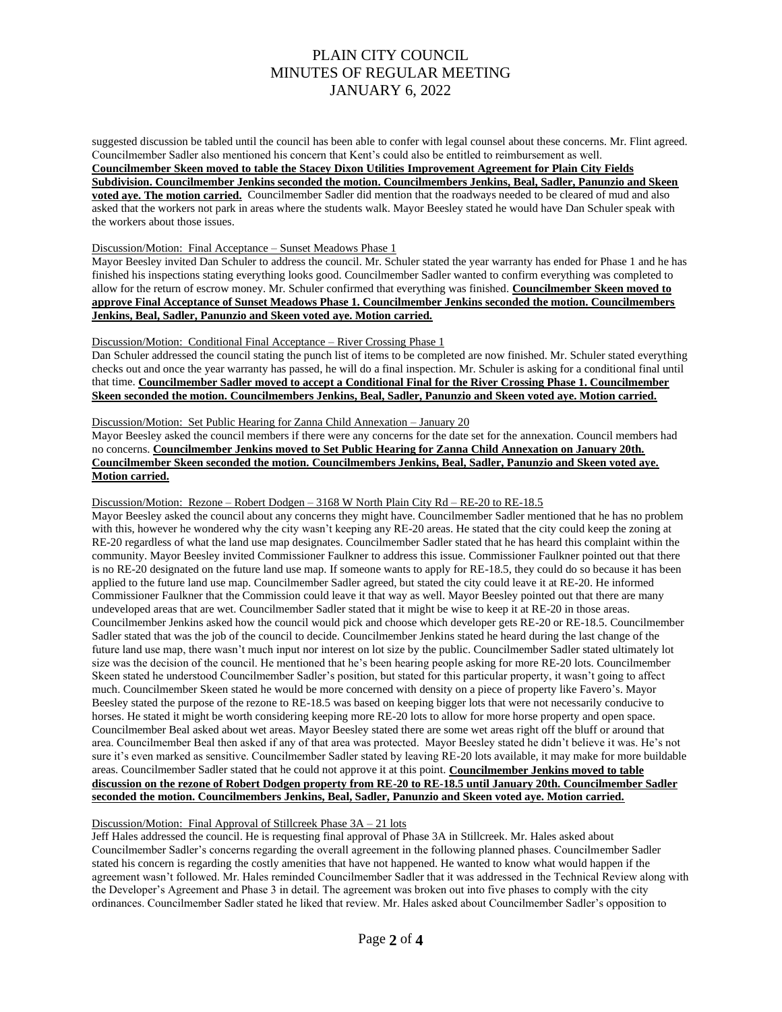suggested discussion be tabled until the council has been able to confer with legal counsel about these concerns. Mr. Flint agreed. Councilmember Sadler also mentioned his concern that Kent's could also be entitled to reimbursement as well. **Councilmember Skeen moved to table the Stacey Dixon Utilities Improvement Agreement for Plain City Fields Subdivision. Councilmember Jenkins seconded the motion. Councilmembers Jenkins, Beal, Sadler, Panunzio and Skeen voted aye. The motion carried.** Councilmember Sadler did mention that the roadways needed to be cleared of mud and also asked that the workers not park in areas where the students walk. Mayor Beesley stated he would have Dan Schuler speak with the workers about those issues.

#### Discussion/Motion: Final Acceptance – Sunset Meadows Phase 1

Mayor Beesley invited Dan Schuler to address the council. Mr. Schuler stated the year warranty has ended for Phase 1 and he has finished his inspections stating everything looks good. Councilmember Sadler wanted to confirm everything was completed to allow for the return of escrow money. Mr. Schuler confirmed that everything was finished. **Councilmember Skeen moved to approve Final Acceptance of Sunset Meadows Phase 1. Councilmember Jenkins seconded the motion. Councilmembers Jenkins, Beal, Sadler, Panunzio and Skeen voted aye. Motion carried.**

#### Discussion/Motion: Conditional Final Acceptance – River Crossing Phase 1

Dan Schuler addressed the council stating the punch list of items to be completed are now finished. Mr. Schuler stated everything checks out and once the year warranty has passed, he will do a final inspection. Mr. Schuler is asking for a conditional final until that time. **Councilmember Sadler moved to accept a Conditional Final for the River Crossing Phase 1. Councilmember Skeen seconded the motion. Councilmembers Jenkins, Beal, Sadler, Panunzio and Skeen voted aye. Motion carried.**

## Discussion/Motion: Set Public Hearing for Zanna Child Annexation – January 20

Mayor Beesley asked the council members if there were any concerns for the date set for the annexation. Council members had no concerns. **Councilmember Jenkins moved to Set Public Hearing for Zanna Child Annexation on January 20th. Councilmember Skeen seconded the motion. Councilmembers Jenkins, Beal, Sadler, Panunzio and Skeen voted aye. Motion carried.**

### Discussion/Motion: Rezone – Robert Dodgen – 3168 W North Plain City Rd – RE-20 to RE-18.5

Mayor Beesley asked the council about any concerns they might have. Councilmember Sadler mentioned that he has no problem with this, however he wondered why the city wasn't keeping any RE-20 areas. He stated that the city could keep the zoning at RE-20 regardless of what the land use map designates. Councilmember Sadler stated that he has heard this complaint within the community. Mayor Beesley invited Commissioner Faulkner to address this issue. Commissioner Faulkner pointed out that there is no RE-20 designated on the future land use map. If someone wants to apply for RE-18.5, they could do so because it has been applied to the future land use map. Councilmember Sadler agreed, but stated the city could leave it at RE-20. He informed Commissioner Faulkner that the Commission could leave it that way as well. Mayor Beesley pointed out that there are many undeveloped areas that are wet. Councilmember Sadler stated that it might be wise to keep it at RE-20 in those areas. Councilmember Jenkins asked how the council would pick and choose which developer gets RE-20 or RE-18.5. Councilmember Sadler stated that was the job of the council to decide. Councilmember Jenkins stated he heard during the last change of the future land use map, there wasn't much input nor interest on lot size by the public. Councilmember Sadler stated ultimately lot size was the decision of the council. He mentioned that he's been hearing people asking for more RE-20 lots. Councilmember Skeen stated he understood Councilmember Sadler's position, but stated for this particular property, it wasn't going to affect much. Councilmember Skeen stated he would be more concerned with density on a piece of property like Favero's. Mayor Beesley stated the purpose of the rezone to RE-18.5 was based on keeping bigger lots that were not necessarily conducive to horses. He stated it might be worth considering keeping more RE-20 lots to allow for more horse property and open space. Councilmember Beal asked about wet areas. Mayor Beesley stated there are some wet areas right off the bluff or around that area. Councilmember Beal then asked if any of that area was protected. Mayor Beesley stated he didn't believe it was. He's not sure it's even marked as sensitive. Councilmember Sadler stated by leaving RE-20 lots available, it may make for more buildable areas. Councilmember Sadler stated that he could not approve it at this point. **Councilmember Jenkins moved to table discussion on the rezone of Robert Dodgen property from RE-20 to RE-18.5 until January 20th. Councilmember Sadler seconded the motion. Councilmembers Jenkins, Beal, Sadler, Panunzio and Skeen voted aye. Motion carried.**

# Discussion/Motion: Final Approval of Stillcreek Phase 3A – 21 lots

Jeff Hales addressed the council. He is requesting final approval of Phase 3A in Stillcreek. Mr. Hales asked about Councilmember Sadler's concerns regarding the overall agreement in the following planned phases. Councilmember Sadler stated his concern is regarding the costly amenities that have not happened. He wanted to know what would happen if the agreement wasn't followed. Mr. Hales reminded Councilmember Sadler that it was addressed in the Technical Review along with the Developer's Agreement and Phase 3 in detail. The agreement was broken out into five phases to comply with the city ordinances. Councilmember Sadler stated he liked that review. Mr. Hales asked about Councilmember Sadler's opposition to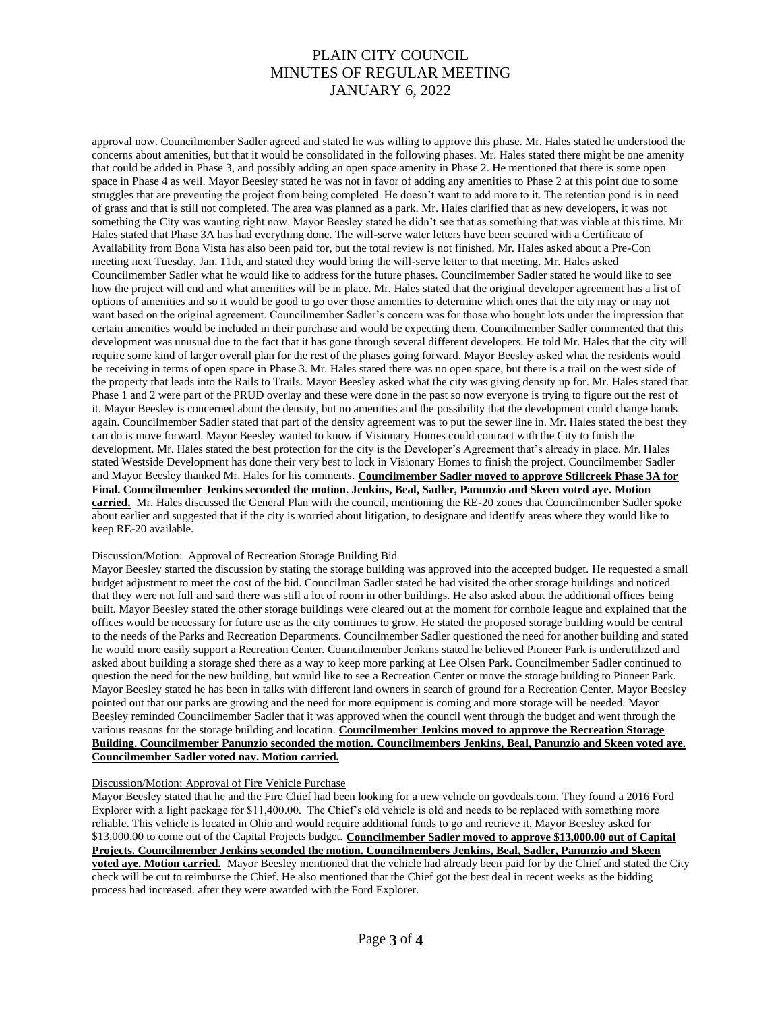approval now. Councilmember Sadler agreed and stated he was willing to approve this phase. Mr. Hales stated he understood the concerns about amenities, but that it would be consolidated in the following phases. Mr. Hales stated there might be one amenity that could be added in Phase 3, and possibly adding an open space amenity in Phase 2. He mentioned that there is some open space in Phase 4 as well. Mayor Beesley stated he was not in favor of adding any amenities to Phase 2 at this point due to some struggles that are preventing the project from being completed. He doesn't want to add more to it. The retention pond is in need of grass and that is still not completed. The area was planned as a park. Mr. Hales clarified that as new developers, it was not something the City was wanting right now. Mayor Beesley stated he didn't see that as something that was viable at this time. Mr. Hales stated that Phase 3A has had everything done. The will-serve water letters have been secured with a Certificate of Availability from Bona Vista has also been paid for, but the total review is not finished. Mr. Hales asked about a Pre-Con meeting next Tuesday, Jan. 11th, and stated they would bring the will-serve letter to that meeting. Mr. Hales asked Councilmember Sadler what he would like to address for the future phases. Councilmember Sadler stated he would like to see how the project will end and what amenities will be in place. Mr. Hales stated that the original developer agreement has a list of options of amenities and so it would be good to go over those amenities to determine which ones that the city may or may not want based on the original agreement. Councilmember Sadler's concern was for those who bought lots under the impression that certain amenities would be included in their purchase and would be expecting them. Councilmember Sadler commented that this development was unusual due to the fact that it has gone through several different developers. He told Mr. Hales that the city will require some kind of larger overall plan for the rest of the phases going forward. Mayor Beesley asked what the residents would be receiving in terms of open space in Phase 3. Mr. Hales stated there was no open space, but there is a trail on the west side of the property that leads into the Rails to Trails. Mayor Beesley asked what the city was giving density up for. Mr. Hales stated that Phase 1 and 2 were part of the PRUD overlay and these were done in the past so now everyone is trying to figure out the rest of it. Mayor Beesley is concerned about the density, but no amenities and the possibility that the development could change hands again. Councilmember Sadler stated that part of the density agreement was to put the sewer line in. Mr. Hales stated the best they can do is move forward. Mayor Beesley wanted to know if Visionary Homes could contract with the City to finish the development. Mr. Hales stated the best protection for the city is the Developer's Agreement that's already in place. Mr. Hales stated Westside Development has done their very best to lock in Visionary Homes to finish the project. Councilmember Sadler and Mayor Beesley thanked Mr. Hales for his comments. **Councilmember Sadler moved to approve Stillcreek Phase 3A for Final. Councilmember Jenkins seconded the motion. Jenkins, Beal, Sadler, Panunzio and Skeen voted aye. Motion carried.** Mr. Hales discussed the General Plan with the council, mentioning the RE-20 zones that Councilmember Sadler spoke about earlier and suggested that if the city is worried about litigation, to designate and identify areas where they would like to keep RE-20 available.

## Discussion/Motion: Approval of Recreation Storage Building Bid

Mayor Beesley started the discussion by stating the storage building was approved into the accepted budget. He requested a small budget adjustment to meet the cost of the bid. Councilman Sadler stated he had visited the other storage buildings and noticed that they were not full and said there was still a lot of room in other buildings. He also asked about the additional offices being built. Mayor Beesley stated the other storage buildings were cleared out at the moment for cornhole league and explained that the offices would be necessary for future use as the city continues to grow. He stated the proposed storage building would be central to the needs of the Parks and Recreation Departments. Councilmember Sadler questioned the need for another building and stated he would more easily support a Recreation Center. Councilmember Jenkins stated he believed Pioneer Park is underutilized and asked about building a storage shed there as a way to keep more parking at Lee Olsen Park. Councilmember Sadler continued to question the need for the new building, but would like to see a Recreation Center or move the storage building to Pioneer Park. Mayor Beesley stated he has been in talks with different land owners in search of ground for a Recreation Center. Mayor Beesley pointed out that our parks are growing and the need for more equipment is coming and more storage will be needed. Mayor Beesley reminded Councilmember Sadler that it was approved when the council went through the budget and went through the various reasons for the storage building and location. **Councilmember Jenkins moved to approve the Recreation Storage Building. Councilmember Panunzio seconded the motion. Councilmembers Jenkins, Beal, Panunzio and Skeen voted aye. Councilmember Sadler voted nay. Motion carried.**

## Discussion/Motion: Approval of Fire Vehicle Purchase

Mayor Beesley stated that he and the Fire Chief had been looking for a new vehicle on govdeals.com. They found a 2016 Ford Explorer with a light package for \$11,400.00. The Chief's old vehicle is old and needs to be replaced with something more reliable. This vehicle is located in Ohio and would require additional funds to go and retrieve it. Mayor Beesley asked for \$13,000.00 to come out of the Capital Projects budget. **Councilmember Sadler moved to approve \$13,000.00 out of Capital Projects. Councilmember Jenkins seconded the motion. Councilmembers Jenkins, Beal, Sadler, Panunzio and Skeen voted aye. Motion carried.** Mayor Beesley mentioned that the vehicle had already been paid for by the Chief and stated the City check will be cut to reimburse the Chief. He also mentioned that the Chief got the best deal in recent weeks as the bidding process had increased. after they were awarded with the Ford Explorer.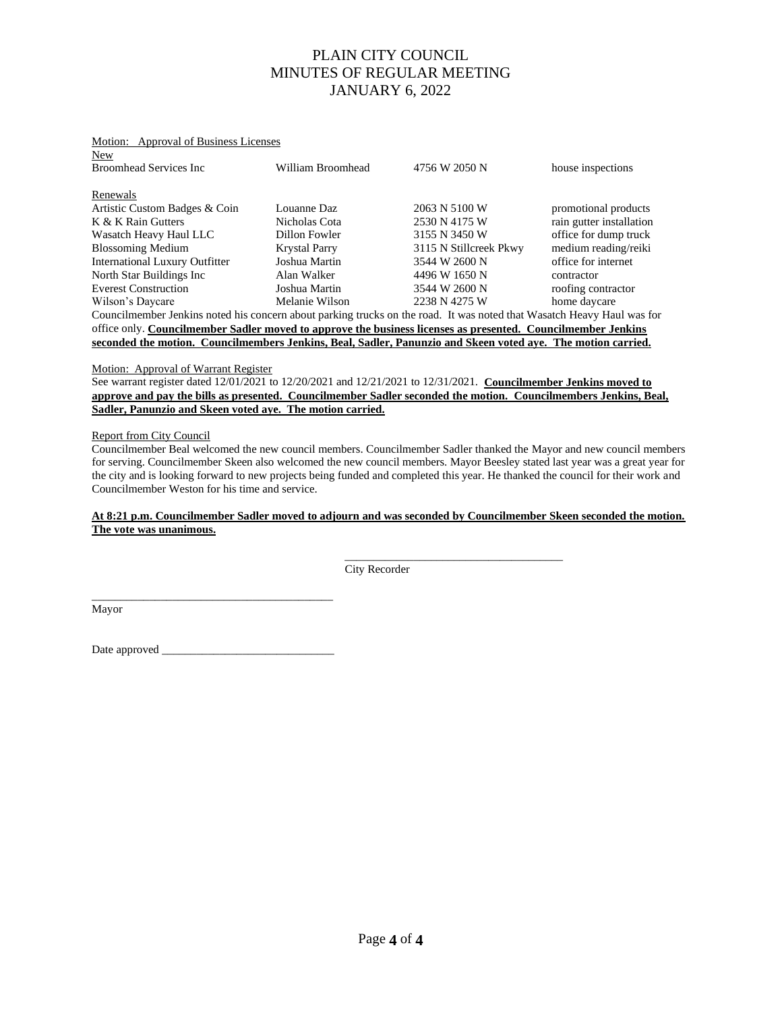# New Broomhead Services Inc William Broomhead 4756 W 2050 N house inspections Renewals Artistic Custom Badges & Coin Louanne Daz 2063 N 5100 W promotional products K & K Rain Gutters Nicholas Cota 2530 N 4175 W rain gutter installation Wasatch Heavy Haul LLC Dillon Fowler 3155 N 3450 W office for dump truck Blossoming Medium Krystal Parry 3115 N Stillcreek Pkwy medium reading/reiki International Luxury Outfitter Joshua Martin 3544 W 2600 N office for internet<br>North Star Buildings Inc Alan Walker 4496 W 1650 N contractor North Star Buildings Inc Alan Walker 4496 W 1650 N contractor<br>Everest Construction Joshua Martin 3544 W 2600 N roofing contractor Everest Construction Joshua Martin 3544 W 2600 N Wilson's Daycare **Melanie Wilson 2238 N 4275 W** home daycare Councilmember Jenkins noted his concern about parking trucks on the road. It was noted that Wasatch Heavy Haul was for office only. **Councilmember Sadler moved to approve the business licenses as presented. Councilmember Jenkins seconded the motion. Councilmembers Jenkins, Beal, Sadler, Panunzio and Skeen voted aye. The motion carried.**

#### Motion: Approval of Business Licenses

#### Motion: Approval of Warrant Register

See warrant register dated 12/01/2021 to 12/20/2021 and 12/21/2021 to 12/31/2021. **Councilmember Jenkins moved to approve and pay the bills as presented. Councilmember Sadler seconded the motion. Councilmembers Jenkins, Beal, Sadler, Panunzio and Skeen voted aye. The motion carried.**

#### Report from City Council

Councilmember Beal welcomed the new council members. Councilmember Sadler thanked the Mayor and new council members for serving. Councilmember Skeen also welcomed the new council members. Mayor Beesley stated last year was a great year for the city and is looking forward to new projects being funded and completed this year. He thanked the council for their work and Councilmember Weston for his time and service.

## **At 8:21 p.m. Councilmember Sadler moved to adjourn and was seconded by Councilmember Skeen seconded the motion. The vote was unanimous.**

City Recorder

 $\overline{\phantom{a}}$  , and the contract of the contract of the contract of the contract of the contract of the contract of the contract of the contract of the contract of the contract of the contract of the contract of the contrac

Mayor

Date approved

\_\_\_\_\_\_\_\_\_\_\_\_\_\_\_\_\_\_\_\_\_\_\_\_\_\_\_\_\_\_\_\_\_\_\_\_\_\_\_\_\_\_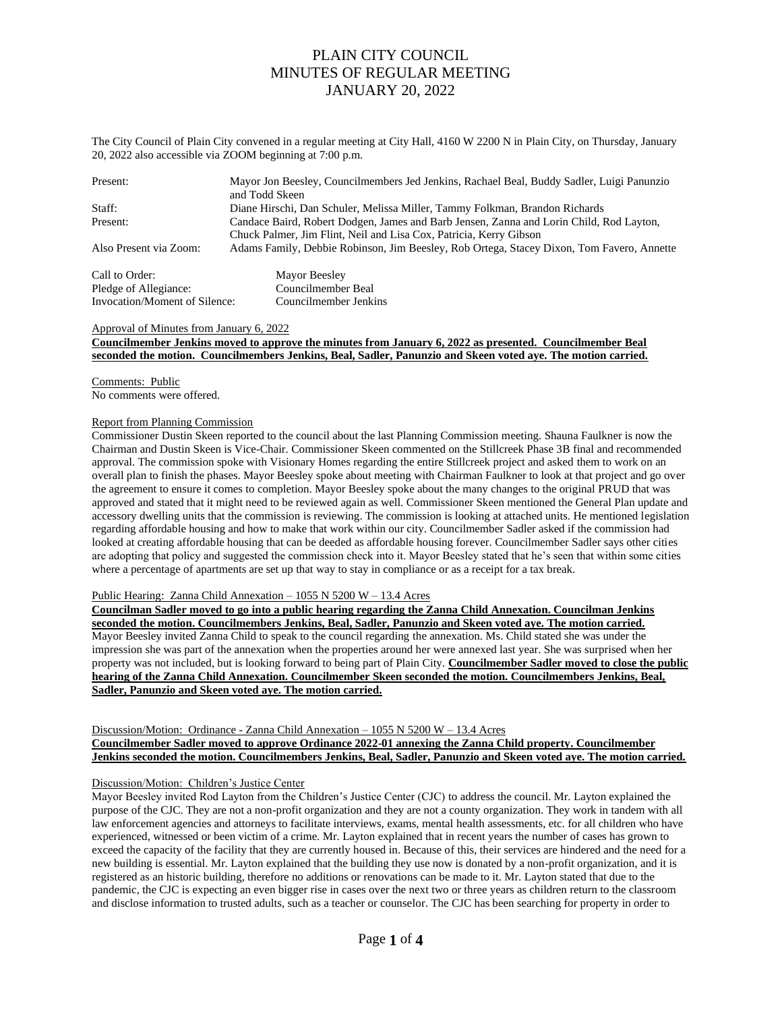The City Council of Plain City convened in a regular meeting at City Hall, 4160 W 2200 N in Plain City, on Thursday, January 20, 2022 also accessible via ZOOM beginning at 7:00 p.m.

| Present:                      | Mayor Jon Beesley, Councilmembers Jed Jenkins, Rachael Beal, Buddy Sadler, Luigi Panunzio<br>and Todd Skeen |  |  |  |
|-------------------------------|-------------------------------------------------------------------------------------------------------------|--|--|--|
| Staff:                        | Diane Hirschi, Dan Schuler, Melissa Miller, Tammy Folkman, Brandon Richards                                 |  |  |  |
| Present:                      | Candace Baird, Robert Dodgen, James and Barb Jensen, Zanna and Lorin Child, Rod Layton,                     |  |  |  |
|                               | Chuck Palmer, Jim Flint, Neil and Lisa Cox, Patricia, Kerry Gibson                                          |  |  |  |
| Also Present via Zoom:        | Adams Family, Debbie Robinson, Jim Beesley, Rob Ortega, Stacey Dixon, Tom Favero, Annette                   |  |  |  |
| Call to Order:                | Mayor Beesley                                                                                               |  |  |  |
| Pledge of Allegiance:         | Councilmember Beal                                                                                          |  |  |  |
| Invocation/Moment of Silence: | Councilmember Ienkins                                                                                       |  |  |  |

#### Approval of Minutes from January 6, 2022

## **Councilmember Jenkins moved to approve the minutes from January 6, 2022 as presented. Councilmember Beal seconded the motion. Councilmembers Jenkins, Beal, Sadler, Panunzio and Skeen voted aye. The motion carried.**

Comments: Public No comments were offered.

#### Report from Planning Commission

Commissioner Dustin Skeen reported to the council about the last Planning Commission meeting. Shauna Faulkner is now the Chairman and Dustin Skeen is Vice-Chair. Commissioner Skeen commented on the Stillcreek Phase 3B final and recommended approval. The commission spoke with Visionary Homes regarding the entire Stillcreek project and asked them to work on an overall plan to finish the phases. Mayor Beesley spoke about meeting with Chairman Faulkner to look at that project and go over the agreement to ensure it comes to completion. Mayor Beesley spoke about the many changes to the original PRUD that was approved and stated that it might need to be reviewed again as well. Commissioner Skeen mentioned the General Plan update and accessory dwelling units that the commission is reviewing. The commission is looking at attached units. He mentioned legislation regarding affordable housing and how to make that work within our city. Councilmember Sadler asked if the commission had looked at creating affordable housing that can be deeded as affordable housing forever. Councilmember Sadler says other cities are adopting that policy and suggested the commission check into it. Mayor Beesley stated that he's seen that within some cities where a percentage of apartments are set up that way to stay in compliance or as a receipt for a tax break.

# Public Hearing: Zanna Child Annexation – 1055 N 5200 W – 13.4 Acres

**Councilman Sadler moved to go into a public hearing regarding the Zanna Child Annexation. Councilman Jenkins seconded the motion. Councilmembers Jenkins, Beal, Sadler, Panunzio and Skeen voted aye. The motion carried.** Mayor Beesley invited Zanna Child to speak to the council regarding the annexation. Ms. Child stated she was under the impression she was part of the annexation when the properties around her were annexed last year. She was surprised when her property was not included, but is looking forward to being part of Plain City. **Councilmember Sadler moved to close the public hearing of the Zanna Child Annexation. Councilmember Skeen seconded the motion. Councilmembers Jenkins, Beal, Sadler, Panunzio and Skeen voted aye. The motion carried.**

Discussion/Motion: Ordinance - Zanna Child Annexation – 1055 N 5200 W – 13.4 Acres

**Councilmember Sadler moved to approve Ordinance 2022-01 annexing the Zanna Child property. Councilmember Jenkins seconded the motion. Councilmembers Jenkins, Beal, Sadler, Panunzio and Skeen voted aye. The motion carried.** 

### Discussion/Motion: Children's Justice Center

Mayor Beesley invited Rod Layton from the Children's Justice Center (CJC) to address the council. Mr. Layton explained the purpose of the CJC. They are not a non-profit organization and they are not a county organization. They work in tandem with all law enforcement agencies and attorneys to facilitate interviews, exams, mental health assessments, etc. for all children who have experienced, witnessed or been victim of a crime. Mr. Layton explained that in recent years the number of cases has grown to exceed the capacity of the facility that they are currently housed in. Because of this, their services are hindered and the need for a new building is essential. Mr. Layton explained that the building they use now is donated by a non-profit organization, and it is registered as an historic building, therefore no additions or renovations can be made to it. Mr. Layton stated that due to the pandemic, the CJC is expecting an even bigger rise in cases over the next two or three years as children return to the classroom and disclose information to trusted adults, such as a teacher or counselor. The CJC has been searching for property in order to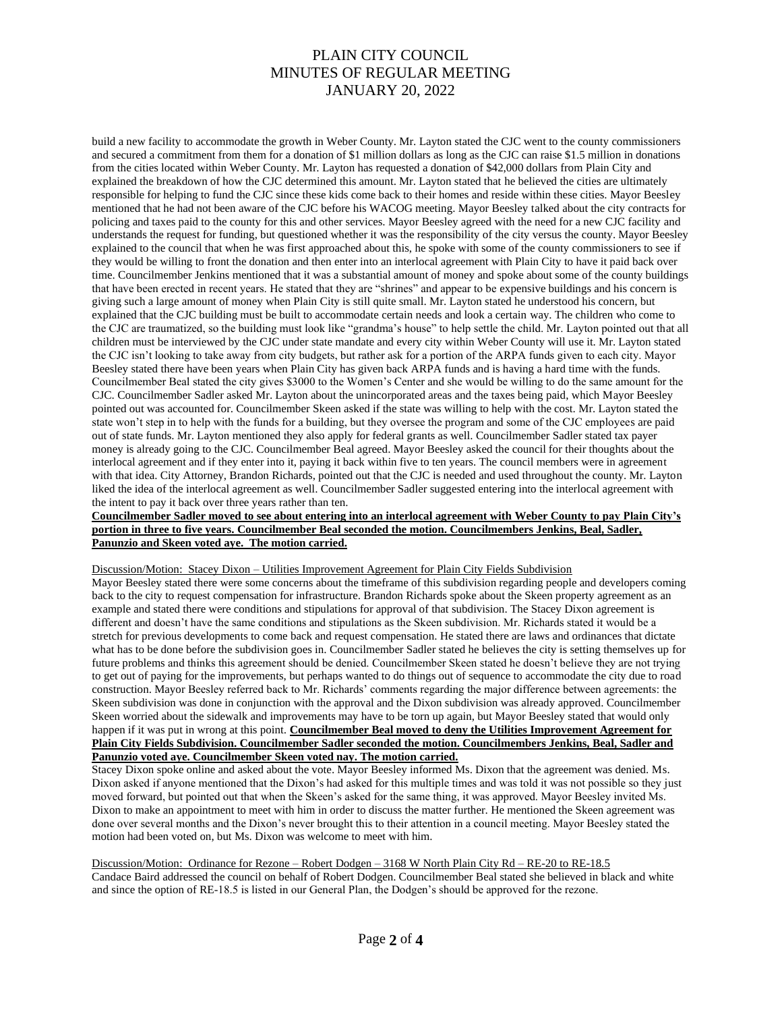build a new facility to accommodate the growth in Weber County. Mr. Layton stated the CJC went to the county commissioners and secured a commitment from them for a donation of \$1 million dollars as long as the CJC can raise \$1.5 million in donations from the cities located within Weber County. Mr. Layton has requested a donation of \$42,000 dollars from Plain City and explained the breakdown of how the CJC determined this amount. Mr. Layton stated that he believed the cities are ultimately responsible for helping to fund the CJC since these kids come back to their homes and reside within these cities. Mayor Beesley mentioned that he had not been aware of the CJC before his WACOG meeting. Mayor Beesley talked about the city contracts for policing and taxes paid to the county for this and other services. Mayor Beesley agreed with the need for a new CJC facility and understands the request for funding, but questioned whether it was the responsibility of the city versus the county. Mayor Beesley explained to the council that when he was first approached about this, he spoke with some of the county commissioners to see if they would be willing to front the donation and then enter into an interlocal agreement with Plain City to have it paid back over time. Councilmember Jenkins mentioned that it was a substantial amount of money and spoke about some of the county buildings that have been erected in recent years. He stated that they are "shrines" and appear to be expensive buildings and his concern is giving such a large amount of money when Plain City is still quite small. Mr. Layton stated he understood his concern, but explained that the CJC building must be built to accommodate certain needs and look a certain way. The children who come to the CJC are traumatized, so the building must look like "grandma's house" to help settle the child. Mr. Layton pointed out that all children must be interviewed by the CJC under state mandate and every city within Weber County will use it. Mr. Layton stated the CJC isn't looking to take away from city budgets, but rather ask for a portion of the ARPA funds given to each city. Mayor Beesley stated there have been years when Plain City has given back ARPA funds and is having a hard time with the funds. Councilmember Beal stated the city gives \$3000 to the Women's Center and she would be willing to do the same amount for the CJC. Councilmember Sadler asked Mr. Layton about the unincorporated areas and the taxes being paid, which Mayor Beesley pointed out was accounted for. Councilmember Skeen asked if the state was willing to help with the cost. Mr. Layton stated the state won't step in to help with the funds for a building, but they oversee the program and some of the CJC employees are paid out of state funds. Mr. Layton mentioned they also apply for federal grants as well. Councilmember Sadler stated tax payer money is already going to the CJC. Councilmember Beal agreed. Mayor Beesley asked the council for their thoughts about the interlocal agreement and if they enter into it, paying it back within five to ten years. The council members were in agreement with that idea. City Attorney, Brandon Richards, pointed out that the CJC is needed and used throughout the county. Mr. Layton liked the idea of the interlocal agreement as well. Councilmember Sadler suggested entering into the interlocal agreement with the intent to pay it back over three years rather than ten.

### **Councilmember Sadler moved to see about entering into an interlocal agreement with Weber County to pay Plain City's portion in three to five years. Councilmember Beal seconded the motion. Councilmembers Jenkins, Beal, Sadler, Panunzio and Skeen voted aye. The motion carried.**

Discussion/Motion: Stacey Dixon – Utilities Improvement Agreement for Plain City Fields Subdivision

Mayor Beesley stated there were some concerns about the timeframe of this subdivision regarding people and developers coming back to the city to request compensation for infrastructure. Brandon Richards spoke about the Skeen property agreement as an example and stated there were conditions and stipulations for approval of that subdivision. The Stacey Dixon agreement is different and doesn't have the same conditions and stipulations as the Skeen subdivision. Mr. Richards stated it would be a stretch for previous developments to come back and request compensation. He stated there are laws and ordinances that dictate what has to be done before the subdivision goes in. Councilmember Sadler stated he believes the city is setting themselves up for future problems and thinks this agreement should be denied. Councilmember Skeen stated he doesn't believe they are not trying to get out of paying for the improvements, but perhaps wanted to do things out of sequence to accommodate the city due to road construction. Mayor Beesley referred back to Mr. Richards' comments regarding the major difference between agreements: the Skeen subdivision was done in conjunction with the approval and the Dixon subdivision was already approved. Councilmember Skeen worried about the sidewalk and improvements may have to be torn up again, but Mayor Beesley stated that would only happen if it was put in wrong at this point. **Councilmember Beal moved to deny the Utilities Improvement Agreement for Plain City Fields Subdivision. Councilmember Sadler seconded the motion. Councilmembers Jenkins, Beal, Sadler and Panunzio voted aye. Councilmember Skeen voted nay. The motion carried.** 

Stacey Dixon spoke online and asked about the vote. Mayor Beesley informed Ms. Dixon that the agreement was denied. Ms. Dixon asked if anyone mentioned that the Dixon's had asked for this multiple times and was told it was not possible so they just moved forward, but pointed out that when the Skeen's asked for the same thing, it was approved. Mayor Beesley invited Ms. Dixon to make an appointment to meet with him in order to discuss the matter further. He mentioned the Skeen agreement was done over several months and the Dixon's never brought this to their attention in a council meeting. Mayor Beesley stated the motion had been voted on, but Ms. Dixon was welcome to meet with him.

Discussion/Motion: Ordinance for Rezone – Robert Dodgen – 3168 W North Plain City Rd – RE-20 to RE-18.5 Candace Baird addressed the council on behalf of Robert Dodgen. Councilmember Beal stated she believed in black and white and since the option of RE-18.5 is listed in our General Plan, the Dodgen's should be approved for the rezone.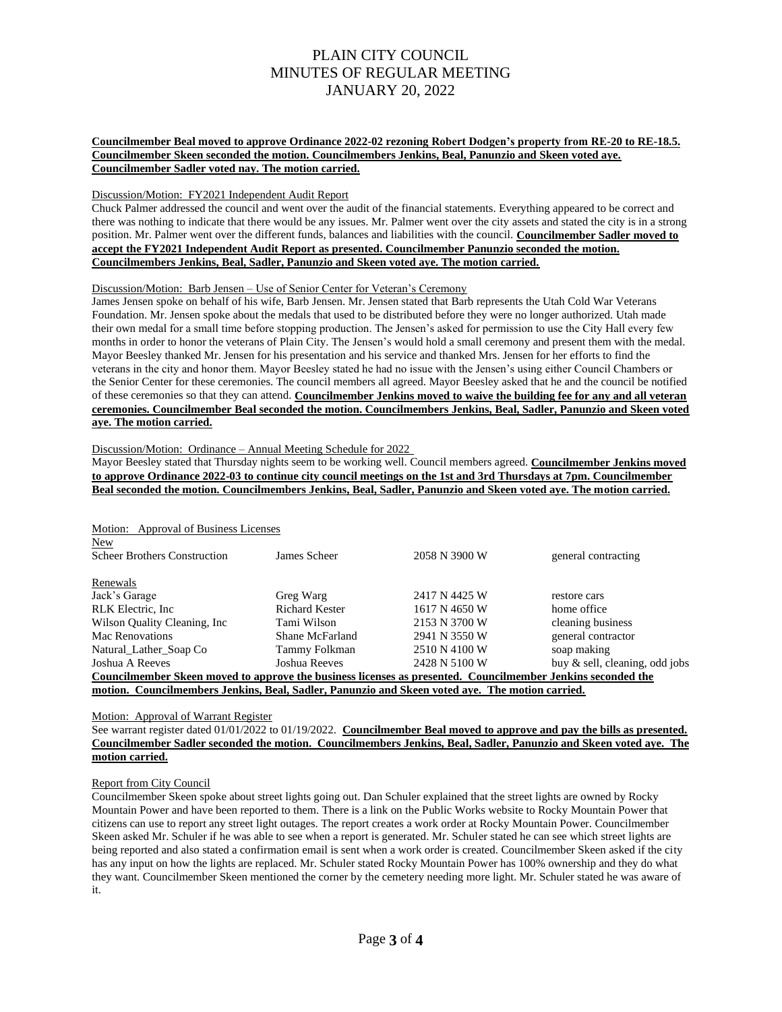## **Councilmember Beal moved to approve Ordinance 2022-02 rezoning Robert Dodgen's property from RE-20 to RE-18.5. Councilmember Skeen seconded the motion. Councilmembers Jenkins, Beal, Panunzio and Skeen voted aye. Councilmember Sadler voted nay. The motion carried.**

### Discussion/Motion: FY2021 Independent Audit Report

Chuck Palmer addressed the council and went over the audit of the financial statements. Everything appeared to be correct and there was nothing to indicate that there would be any issues. Mr. Palmer went over the city assets and stated the city is in a strong position. Mr. Palmer went over the different funds, balances and liabilities with the council. **Councilmember Sadler moved to accept the FY2021 Independent Audit Report as presented. Councilmember Panunzio seconded the motion. Councilmembers Jenkins, Beal, Sadler, Panunzio and Skeen voted aye. The motion carried.** 

## Discussion/Motion: Barb Jensen – Use of Senior Center for Veteran's Ceremony

James Jensen spoke on behalf of his wife, Barb Jensen. Mr. Jensen stated that Barb represents the Utah Cold War Veterans Foundation. Mr. Jensen spoke about the medals that used to be distributed before they were no longer authorized. Utah made their own medal for a small time before stopping production. The Jensen's asked for permission to use the City Hall every few months in order to honor the veterans of Plain City. The Jensen's would hold a small ceremony and present them with the medal. Mayor Beesley thanked Mr. Jensen for his presentation and his service and thanked Mrs. Jensen for her efforts to find the veterans in the city and honor them. Mayor Beesley stated he had no issue with the Jensen's using either Council Chambers or the Senior Center for these ceremonies. The council members all agreed. Mayor Beesley asked that he and the council be notified of these ceremonies so that they can attend. **Councilmember Jenkins moved to waive the building fee for any and all veteran ceremonies. Councilmember Beal seconded the motion. Councilmembers Jenkins, Beal, Sadler, Panunzio and Skeen voted aye. The motion carried.** 

Discussion/Motion: Ordinance – Annual Meeting Schedule for 2022

Mayor Beesley stated that Thursday nights seem to be working well. Council members agreed. **Councilmember Jenkins moved to approve Ordinance 2022-03 to continue city council meetings on the 1st and 3rd Thursdays at 7pm. Councilmember Beal seconded the motion. Councilmembers Jenkins, Beal, Sadler, Panunzio and Skeen voted aye. The motion carried.**

## Motion: Approval of Business Licenses

| New                                                                                                         |                       |               |                                   |  |  |
|-------------------------------------------------------------------------------------------------------------|-----------------------|---------------|-----------------------------------|--|--|
| <b>Scheer Brothers Construction</b>                                                                         | James Scheer          | 2058 N 3900 W | general contracting               |  |  |
|                                                                                                             |                       |               |                                   |  |  |
| Renewals                                                                                                    |                       |               |                                   |  |  |
| Jack's Garage                                                                                               | Greg Warg             | 2417 N 4425 W | restore cars                      |  |  |
| RLK Electric, Inc.                                                                                          | <b>Richard Kester</b> | 1617 N 4650 W | home office                       |  |  |
| Wilson Quality Cleaning, Inc.                                                                               | Tami Wilson           | 2153 N 3700 W | cleaning business                 |  |  |
| Mac Renovations                                                                                             | Shane McFarland       | 2941 N 3550 W | general contractor                |  |  |
| Natural Lather Soap Co                                                                                      | Tammy Folkman         | 2510 N 4100 W | soap making                       |  |  |
| Joshua A Reeves                                                                                             | Joshua Reeves         | 2428 N 5100 W | buy $\&$ sell, cleaning, odd jobs |  |  |
| Councilmember Skeen moved to approve the business licenses as presented. Councilmember Jenkins seconded the |                       |               |                                   |  |  |
| motion. Councilmembers Jenkins, Beal, Sadler, Panunzio and Skeen voted ave. The motion carried.             |                       |               |                                   |  |  |

## Motion: Approval of Warrant Register

See warrant register dated 01/01/2022 to 01/19/2022. **Councilmember Beal moved to approve and pay the bills as presented. Councilmember Sadler seconded the motion. Councilmembers Jenkins, Beal, Sadler, Panunzio and Skeen voted aye. The motion carried.**

## Report from City Council

Councilmember Skeen spoke about street lights going out. Dan Schuler explained that the street lights are owned by Rocky Mountain Power and have been reported to them. There is a link on the Public Works website to Rocky Mountain Power that citizens can use to report any street light outages. The report creates a work order at Rocky Mountain Power. Councilmember Skeen asked Mr. Schuler if he was able to see when a report is generated. Mr. Schuler stated he can see which street lights are being reported and also stated a confirmation email is sent when a work order is created. Councilmember Skeen asked if the city has any input on how the lights are replaced. Mr. Schuler stated Rocky Mountain Power has 100% ownership and they do what they want. Councilmember Skeen mentioned the corner by the cemetery needing more light. Mr. Schuler stated he was aware of it.